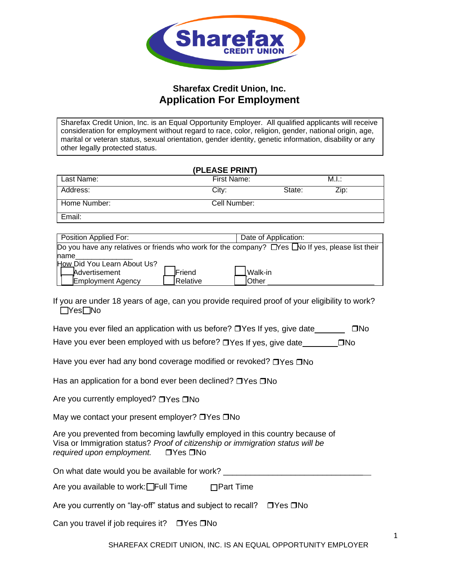

## **Sharefax Credit Union, Inc. Application For Employment**

Sharefax Credit Union, Inc. is an Equal Opportunity Employer. All qualified applicants will receive consideration for employment without regard to race, color, religion, gender, national origin, age, marital or veteran status, sexual orientation, gender identity, genetic information, disability or any other legally protected status.

|              | (PLEASE PRINT) |        |       |
|--------------|----------------|--------|-------|
| Last Name:   | First Name:    |        | M.I.: |
| Address:     | City:          | State: | Zip:  |
| Home Number: | Cell Number:   |        |       |
| Email:       |                |        |       |

| Position Applied For:       |          | Date of Application:                                                                             |
|-----------------------------|----------|--------------------------------------------------------------------------------------------------|
|                             |          | Do you have any relatives or friends who work for the company? DYes No If yes, please list their |
| name                        |          |                                                                                                  |
| How Did You Learn About Us? |          |                                                                                                  |
| _Advertisement              | Friend   | 」Walk-in                                                                                         |
| <b>Employment Agency</b>    | Relative | IOther                                                                                           |

If you are under 18 years of age, can you provide required proof of your eligibility to work?  $\Box$ Yes $\Box$ No

Have you ever filed an application with us before?  $\Box$  Yes If yes, give date  $\Box$  No Have you ever been employed with us before?  $\Box$  Yes If yes, give date  $\Box$   $\Box$  No

Have you ever had any bond coverage modified or revoked?  $\Box$  Yes  $\Box$  No

Has an application for a bond ever been declined?  $\Box$  Yes  $\Box$  No

Are you currently employed?  $\Box$  Yes  $\Box$  No

May we contact your present employer?  $\Box$  Yes  $\Box$  No

Are you prevented from becoming lawfully employed in this country because of Visa or Immigration status? *Proof of citizenship or immigration status will be required upon employment.* **Thes** No

On what date would you be available for work?

Are you available to work: $\square$ Full Time  $\square$ Part Time

Are you currently on "lay-off" status and subject to recall?  $\Box$  Yes  $\Box$  No

Can you travel if job requires it?  $\Box$  Yes  $\Box$  No

SHAREFAX CREDIT UNION, INC. IS AN EQUAL OPPORTUNITY EMPLOYER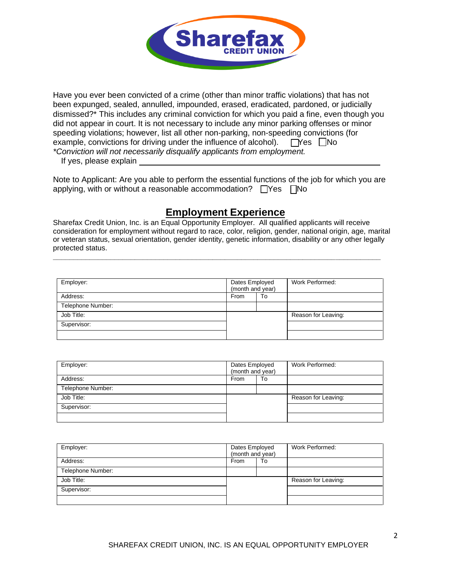

Have you ever been convicted of a crime (other than minor traffic violations) that has not been expunged, sealed, annulled, impounded, erased, eradicated, pardoned, or judicially dismissed?\* This includes any criminal conviction for which you paid a fine, even though you did not appear in court. It is not necessary to include any minor parking offenses or minor speeding violations; however, list all other non-parking, non-speeding convictions (for example, convictions for driving under the influence of alcohol).  $\Box$  Yes  $\Box$  No *\*Conviction will not necessarily disqualify applicants from employment.*

If yes, please explain

Note to Applicant: Are you able to perform the essential functions of the job for which you are applying, with or without a reasonable accommodation?  $\Box$  Yes  $\Box$  No

# **Employment Experience**

Sharefax Credit Union, Inc. is an Equal Opportunity Employer. All qualified applicants will receive consideration for employment without regard to race, color, religion, gender, national origin, age, marital or veteran status, sexual orientation, gender identity, genetic information, disability or any other legally protected status.

**\_\_\_\_\_\_\_\_\_\_\_\_\_\_\_\_\_\_\_\_\_\_\_\_\_\_\_\_\_\_\_\_\_\_\_\_\_\_\_\_\_\_\_\_\_\_\_\_\_\_\_\_\_\_\_\_\_\_\_\_\_\_\_\_\_\_\_\_\_\_\_\_\_\_\_\_\_\_\_\_**

| Employer:         | Dates Employed<br>(month and year) |  | Work Performed:     |
|-------------------|------------------------------------|--|---------------------|
| Address:          | From<br>To                         |  |                     |
| Telephone Number: |                                    |  |                     |
| Job Title:        |                                    |  | Reason for Leaving: |
| Supervisor:       |                                    |  |                     |
|                   |                                    |  |                     |

| Employer:         | Dates Employed<br>(month and year) |  | Work Performed:     |
|-------------------|------------------------------------|--|---------------------|
| Address:          | From<br>To                         |  |                     |
| Telephone Number: |                                    |  |                     |
| Job Title:        |                                    |  | Reason for Leaving: |
| Supervisor:       |                                    |  |                     |
|                   |                                    |  |                     |

| Employer:         | Dates Employed<br>(month and year) |  | Work Performed:     |
|-------------------|------------------------------------|--|---------------------|
| Address:          | From<br>To                         |  |                     |
| Telephone Number: |                                    |  |                     |
| Job Title:        |                                    |  | Reason for Leaving: |
| Supervisor:       |                                    |  |                     |
|                   |                                    |  |                     |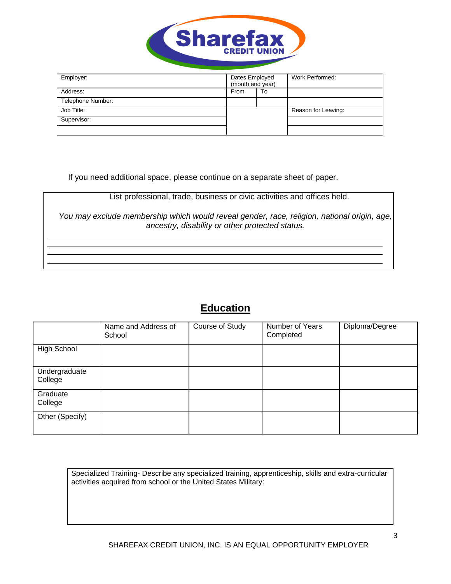

| Employer:         | Dates Employed<br>(month and year) |    | Work Performed:     |
|-------------------|------------------------------------|----|---------------------|
| Address:          | From                               | To |                     |
| Telephone Number: |                                    |    |                     |
| Job Title:        |                                    |    | Reason for Leaving: |
| Supervisor:       |                                    |    |                     |
|                   |                                    |    |                     |

If you need additional space, please continue on a separate sheet of paper.

List professional, trade, business or civic activities and offices held.

*You may exclude membership which would reveal gender, race, religion, national origin, age, ancestry, disability or other protected status.*

## **Education**

|                          | Name and Address of<br>School | Course of Study | Number of Years<br>Completed | Diploma/Degree |
|--------------------------|-------------------------------|-----------------|------------------------------|----------------|
| <b>High School</b>       |                               |                 |                              |                |
| Undergraduate<br>College |                               |                 |                              |                |
| Graduate<br>College      |                               |                 |                              |                |
| Other (Specify)          |                               |                 |                              |                |

Specialized Training- Describe any specialized training, apprenticeship, skills and extra-curricular activities acquired from school or the United States Military: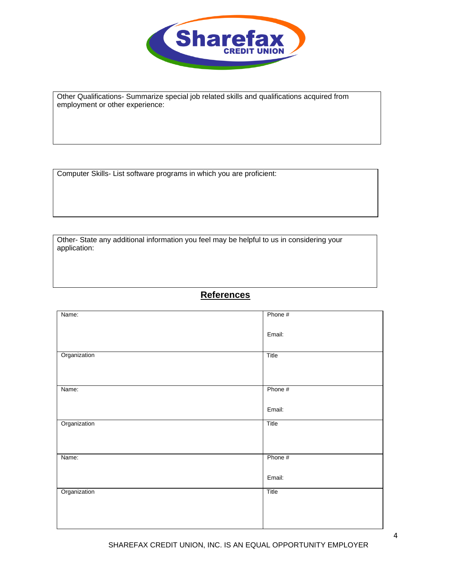

Other Qualifications- Summarize special job related skills and qualifications acquired from employment or other experience:

Computer Skills- List software programs in which you are proficient:

Other- State any additional information you feel may be helpful to us in considering your application:

## **References**

| Name:        | Phone # |
|--------------|---------|
|              |         |
|              | Email:  |
|              |         |
| Organization | Title   |
|              |         |
|              |         |
| Name:        | Phone # |
|              |         |
|              | Email:  |
| Organization | Title   |
|              |         |
|              |         |
| Name:        | Phone # |
|              |         |
|              | Email:  |
| Organization | Title   |
|              |         |
|              |         |
|              |         |